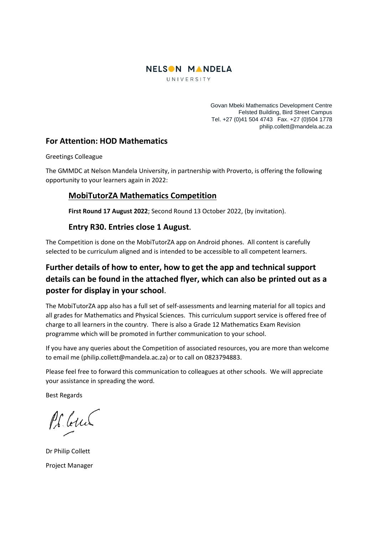

UNIVERSITY

Govan Mbeki Mathematics Development Centre Felsted Building, Bird Street Campus Tel. +27 (0)41 504 4743 Fax. +27 (0)504 1778 philip.collett@mandela.ac.za

## **For Attention: HOD Mathematics**

Greetings Colleague

The GMMDC at Nelson Mandela University, in partnership with Proverto, is offering the following opportunity to your learners again in 2022:

## **MobiTutorZA Mathematics Competition**

**First Round 17 August 2022**; Second Round 13 October 2022, (by invitation).

## **Entry R30. Entries close 1 August.**

The Competition is done on the MobiTutorZA app on Android phones. All content is carefully selected to be curriculum aligned and is intended to be accessible to all competent learners.

## **Further details of how to enter, how to get the app and technical support details can be found in the attached flyer, which can also be printed out as a poster for display in your school**.

The MobiTutorZA app also has a full set of self-assessments and learning material for all topics and all grades for Mathematics and Physical Sciences. This curriculum support service is offered free of charge to all learners in the country. There is also a Grade 12 Mathematics Exam Revision programme which will be promoted in further communication to your school.

If you have any queries about the Competition of associated resources, you are more than welcome to email me (philip.collett@mandela.ac.za) or to call on 0823794883.

Please feel free to forward this communication to colleagues at other schools. We will appreciate your assistance in spreading the word.

Best Regards

Pl buch

Dr Philip Collett Project Manager